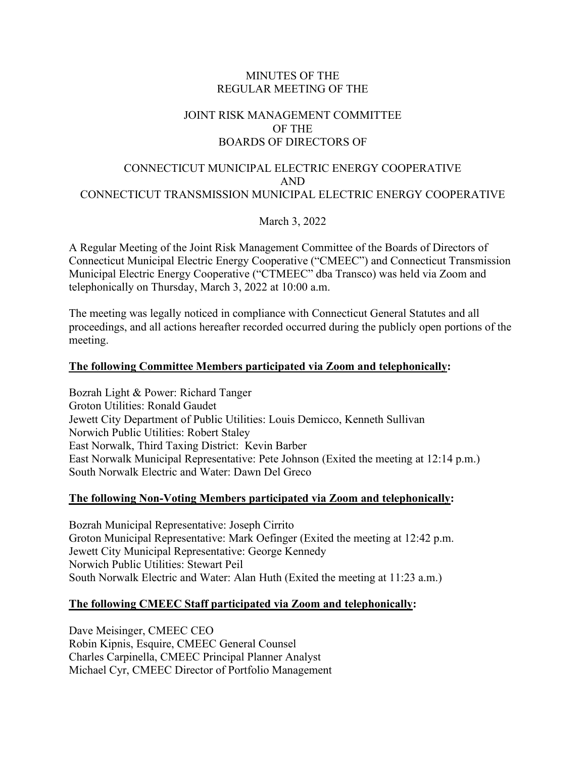### MINUTES OF THE REGULAR MEETING OF THE

## JOINT RISK MANAGEMENT COMMITTEE OF THE BOARDS OF DIRECTORS OF

## CONNECTICUT MUNICIPAL ELECTRIC ENERGY COOPERATIVE AND CONNECTICUT TRANSMISSION MUNICIPAL ELECTRIC ENERGY COOPERATIVE

March 3, 2022

A Regular Meeting of the Joint Risk Management Committee of the Boards of Directors of Connecticut Municipal Electric Energy Cooperative ("CMEEC") and Connecticut Transmission Municipal Electric Energy Cooperative ("CTMEEC" dba Transco) was held via Zoom and telephonically on Thursday, March 3, 2022 at 10:00 a.m.

The meeting was legally noticed in compliance with Connecticut General Statutes and all proceedings, and all actions hereafter recorded occurred during the publicly open portions of the meeting.

### **The following Committee Members participated via Zoom and telephonically:**

Bozrah Light & Power: Richard Tanger Groton Utilities: Ronald Gaudet Jewett City Department of Public Utilities: Louis Demicco, Kenneth Sullivan Norwich Public Utilities: Robert Staley East Norwalk, Third Taxing District: Kevin Barber East Norwalk Municipal Representative: Pete Johnson (Exited the meeting at 12:14 p.m.) South Norwalk Electric and Water: Dawn Del Greco

#### **The following Non-Voting Members participated via Zoom and telephonically:**

Bozrah Municipal Representative: Joseph Cirrito Groton Municipal Representative: Mark Oefinger (Exited the meeting at 12:42 p.m. Jewett City Municipal Representative: George Kennedy Norwich Public Utilities: Stewart Peil South Norwalk Electric and Water: Alan Huth (Exited the meeting at 11:23 a.m.)

#### **The following CMEEC Staff participated via Zoom and telephonically:**

Dave Meisinger, CMEEC CEO Robin Kipnis, Esquire, CMEEC General Counsel Charles Carpinella, CMEEC Principal Planner Analyst Michael Cyr, CMEEC Director of Portfolio Management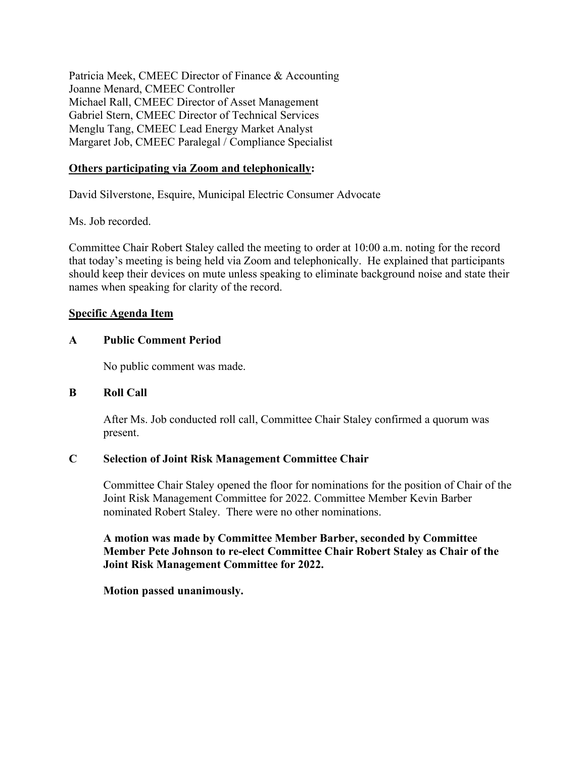Patricia Meek, CMEEC Director of Finance & Accounting Joanne Menard, CMEEC Controller Michael Rall, CMEEC Director of Asset Management Gabriel Stern, CMEEC Director of Technical Services Menglu Tang, CMEEC Lead Energy Market Analyst Margaret Job, CMEEC Paralegal / Compliance Specialist

## **Others participating via Zoom and telephonically:**

David Silverstone, Esquire, Municipal Electric Consumer Advocate

Ms. Job recorded.

Committee Chair Robert Staley called the meeting to order at 10:00 a.m. noting for the record that today's meeting is being held via Zoom and telephonically. He explained that participants should keep their devices on mute unless speaking to eliminate background noise and state their names when speaking for clarity of the record.

#### **Specific Agenda Item**

#### **A Public Comment Period**

No public comment was made.

#### **B Roll Call**

After Ms. Job conducted roll call, Committee Chair Staley confirmed a quorum was present.

#### **C Selection of Joint Risk Management Committee Chair**

Committee Chair Staley opened the floor for nominations for the position of Chair of the Joint Risk Management Committee for 2022. Committee Member Kevin Barber nominated Robert Staley. There were no other nominations.

**A motion was made by Committee Member Barber, seconded by Committee Member Pete Johnson to re-elect Committee Chair Robert Staley as Chair of the Joint Risk Management Committee for 2022.**

**Motion passed unanimously.**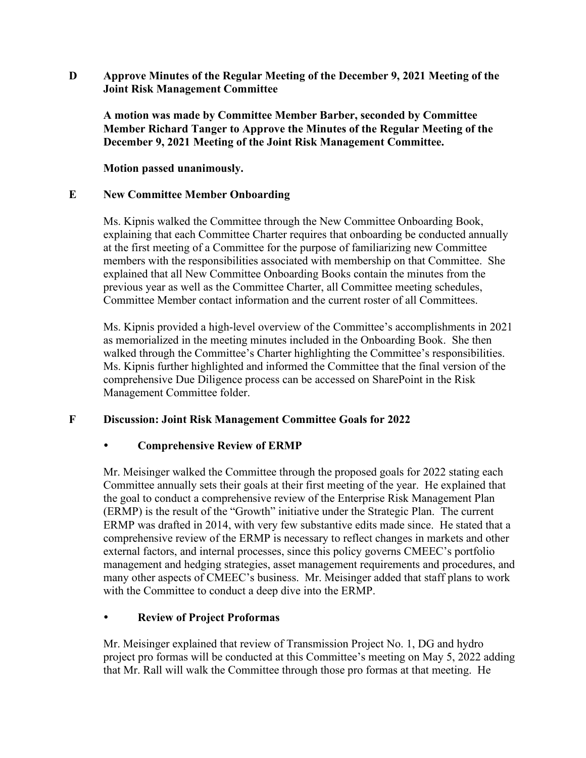**D Approve Minutes of the Regular Meeting of the December 9, 2021 Meeting of the Joint Risk Management Committee**

**A motion was made by Committee Member Barber, seconded by Committee Member Richard Tanger to Approve the Minutes of the Regular Meeting of the December 9, 2021 Meeting of the Joint Risk Management Committee.**

**Motion passed unanimously.**

### **E New Committee Member Onboarding**

Ms. Kipnis walked the Committee through the New Committee Onboarding Book, explaining that each Committee Charter requires that onboarding be conducted annually at the first meeting of a Committee for the purpose of familiarizing new Committee members with the responsibilities associated with membership on that Committee. She explained that all New Committee Onboarding Books contain the minutes from the previous year as well as the Committee Charter, all Committee meeting schedules, Committee Member contact information and the current roster of all Committees.

Ms. Kipnis provided a high-level overview of the Committee's accomplishments in 2021 as memorialized in the meeting minutes included in the Onboarding Book. She then walked through the Committee's Charter highlighting the Committee's responsibilities. Ms. Kipnis further highlighted and informed the Committee that the final version of the comprehensive Due Diligence process can be accessed on SharePoint in the Risk Management Committee folder.

## **F Discussion: Joint Risk Management Committee Goals for 2022**

## **Comprehensive Review of ERMP**

Mr. Meisinger walked the Committee through the proposed goals for 2022 stating each Committee annually sets their goals at their first meeting of the year. He explained that the goal to conduct a comprehensive review of the Enterprise Risk Management Plan (ERMP) is the result of the "Growth" initiative under the Strategic Plan. The current ERMP was drafted in 2014, with very few substantive edits made since. He stated that a comprehensive review of the ERMP is necessary to reflect changes in markets and other external factors, and internal processes, since this policy governs CMEEC's portfolio management and hedging strategies, asset management requirements and procedures, and many other aspects of CMEEC's business. Mr. Meisinger added that staff plans to work with the Committee to conduct a deep dive into the ERMP.

## **Review of Project Proformas**

Mr. Meisinger explained that review of Transmission Project No. 1, DG and hydro project pro formas will be conducted at this Committee's meeting on May 5, 2022 adding that Mr. Rall will walk the Committee through those pro formas at that meeting. He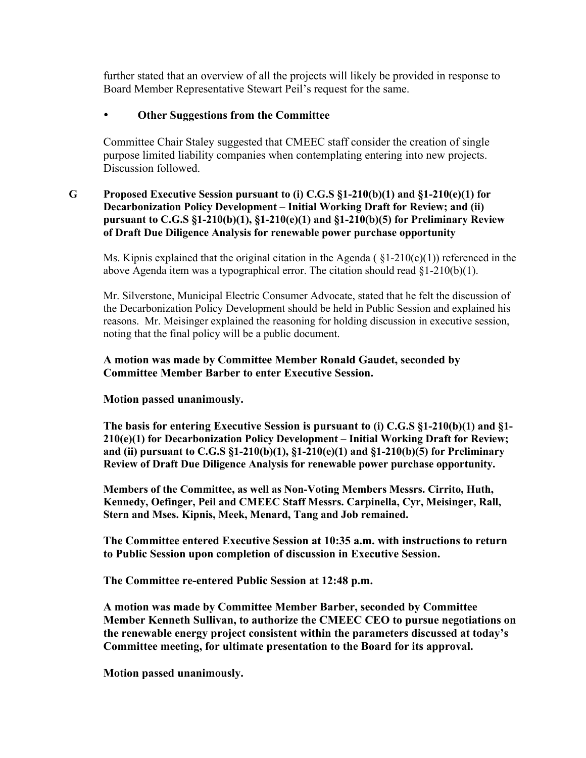further stated that an overview of all the projects will likely be provided in response to Board Member Representative Stewart Peil's request for the same.

## **Other Suggestions from the Committee**

Committee Chair Staley suggested that CMEEC staff consider the creation of single purpose limited liability companies when contemplating entering into new projects. Discussion followed.

#### **G Proposed Executive Session pursuant to (i) C.G.S §1-210(b)(1) and §1-210(e)(1) for Decarbonization Policy Development – Initial Working Draft for Review; and (ii) pursuant to C.G.S §1-210(b)(1), §1-210(e)(1) and §1-210(b)(5) for Preliminary Review of Draft Due Diligence Analysis for renewable power purchase opportunity**

Ms. Kipnis explained that the original citation in the Agenda ( $\S1-210(c)(1)$ ) referenced in the above Agenda item was a typographical error. The citation should read  $\S1-210(b)(1)$ .

Mr. Silverstone, Municipal Electric Consumer Advocate, stated that he felt the discussion of the Decarbonization Policy Development should be held in Public Session and explained his reasons. Mr. Meisinger explained the reasoning for holding discussion in executive session, noting that the final policy will be a public document.

## **A motion was made by Committee Member Ronald Gaudet, seconded by Committee Member Barber to enter Executive Session.**

#### **Motion passed unanimously.**

**The basis for entering Executive Session is pursuant to (i) C.G.S §1-210(b)(1) and §1- 210(e)(1) for Decarbonization Policy Development – Initial Working Draft for Review; and (ii) pursuant to C.G.S §1-210(b)(1), §1-210(e)(1) and §1-210(b)(5) for Preliminary Review of Draft Due Diligence Analysis for renewable power purchase opportunity.** 

**Members of the Committee, as well as Non-Voting Members Messrs. Cirrito, Huth, Kennedy, Oefinger, Peil and CMEEC Staff Messrs. Carpinella, Cyr, Meisinger, Rall, Stern and Mses. Kipnis, Meek, Menard, Tang and Job remained.** 

**The Committee entered Executive Session at 10:35 a.m. with instructions to return to Public Session upon completion of discussion in Executive Session.**

**The Committee re-entered Public Session at 12:48 p.m.**

**A motion was made by Committee Member Barber, seconded by Committee Member Kenneth Sullivan, to authorize the CMEEC CEO to pursue negotiations on the renewable energy project consistent within the parameters discussed at today's Committee meeting, for ultimate presentation to the Board for its approval.**

**Motion passed unanimously.**